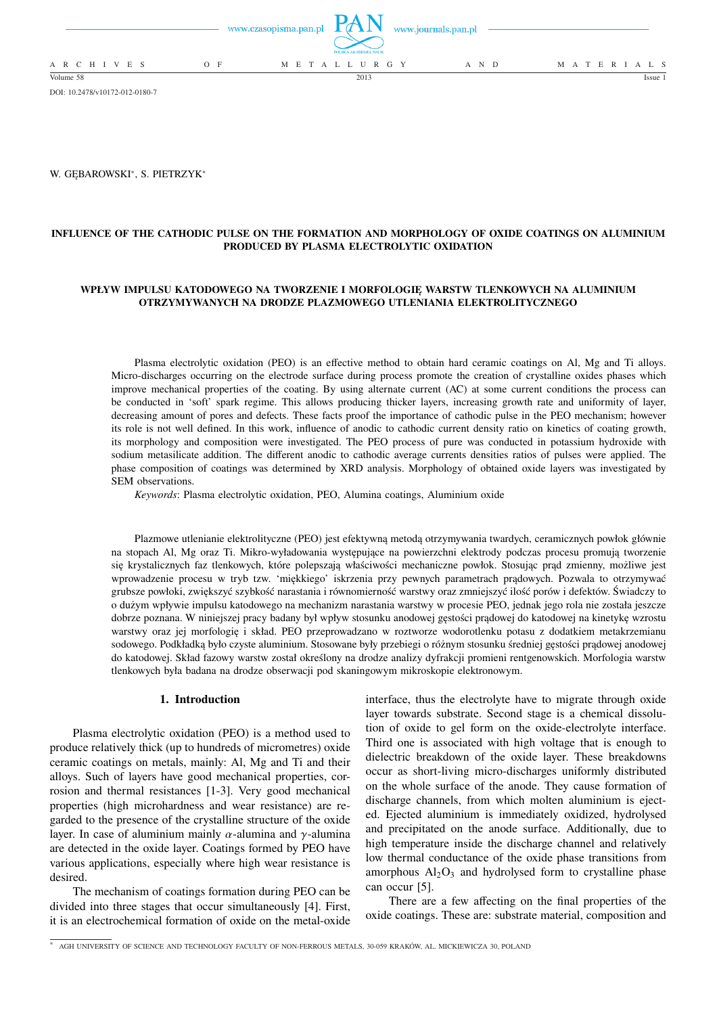|                 | www.czasopisma.pan.pl<br>www.journals.pan.pl<br>POLSKA AKADEMIA NAUK |  |                     |  |       |                   |
|-----------------|----------------------------------------------------------------------|--|---------------------|--|-------|-------------------|
| A R C H I V E S | O F                                                                  |  | M E T A L L U R G Y |  | A N D | M A T E R I A L S |
| Volume 58       |                                                                      |  | 2013                |  |       | Issue             |

DOI: 10.2478/v10172-012-0180-7

W. GĘBAROWSKI<sup>∗</sup> , S. PIETRZYK<sup>∗</sup>

# **INFLUENCE OF THE CATHODIC PULSE ON THE FORMATION AND MORPHOLOGY OF OXIDE COATINGS ON ALUMINIUM PRODUCED BY PLASMA ELECTROLYTIC OXIDATION**

## **WPŁYW IMPULSU KATODOWEGO NA TWORZENIE I MORFOLOGIĘ WARSTW TLENKOWYCH NA ALUMINIUM OTRZYMYWANYCH NA DRODZE PLAZMOWEGO UTLENIANIA ELEKTROLITYCZNEGO**

Plasma electrolytic oxidation (PEO) is an effective method to obtain hard ceramic coatings on Al, Mg and Ti alloys. Micro-discharges occurring on the electrode surface during process promote the creation of crystalline oxides phases which improve mechanical properties of the coating. By using alternate current (AC) at some current conditions the process can be conducted in 'soft' spark regime. This allows producing thicker layers, increasing growth rate and uniformity of layer, decreasing amount of pores and defects. These facts proof the importance of cathodic pulse in the PEO mechanism; however its role is not well defined. In this work, influence of anodic to cathodic current density ratio on kinetics of coating growth, its morphology and composition were investigated. The PEO process of pure was conducted in potassium hydroxide with sodium metasilicate addition. The different anodic to cathodic average currents densities ratios of pulses were applied. The phase composition of coatings was determined by XRD analysis. Morphology of obtained oxide layers was investigated by SEM observations.

*Keywords*: Plasma electrolytic oxidation, PEO, Alumina coatings, Aluminium oxide

Plazmowe utlenianie elektrolityczne (PEO) jest efektywną metodą otrzymywania twardych, ceramicznych powłok głównie na stopach Al, Mg oraz Ti. Mikro-wyładowania występujące na powierzchni elektrody podczas procesu promują tworzenie się krystalicznych faz tlenkowych, które polepszają właściwości mechaniczne powłok. Stosując prąd zmienny, możliwe jest wprowadzenie procesu w tryb tzw. 'miękkiego' iskrzenia przy pewnych parametrach prądowych. Pozwala to otrzymywać grubsze powłoki, zwiększyć szybkość narastania i równomierność warstwy oraz zmniejszyć ilość porów i defektów. Świadczy to o dużym wpływie impulsu katodowego na mechanizm narastania warstwy w procesie PEO, jednak jego rola nie została jeszcze dobrze poznana. W niniejszej pracy badany był wpływ stosunku anodowej gęstości prądowej do katodowej na kinetykę wzrostu warstwy oraz jej morfologię i skład. PEO przeprowadzano w roztworze wodorotlenku potasu z dodatkiem metakrzemianu sodowego. Podkładką było czyste aluminium. Stosowane były przebiegi o różnym stosunku średniej gęstości prądowej anodowej do katodowej. Skład fazowy warstw został określony na drodze analizy dyfrakcji promieni rentgenowskich. Morfologia warstw tlenkowych była badana na drodze obserwacji pod skaningowym mikroskopie elektronowym.

### **1. Introduction**

Plasma electrolytic oxidation (PEO) is a method used to produce relatively thick (up to hundreds of micrometres) oxide ceramic coatings on metals, mainly: Al, Mg and Ti and their alloys. Such of layers have good mechanical properties, corrosion and thermal resistances [1-3]. Very good mechanical properties (high microhardness and wear resistance) are regarded to the presence of the crystalline structure of the oxide layer. In case of aluminium mainly  $\alpha$ -alumina and  $\gamma$ -alumina are detected in the oxide layer. Coatings formed by PEO have various applications, especially where high wear resistance is desired.

The mechanism of coatings formation during PEO can be divided into three stages that occur simultaneously [4]. First, it is an electrochemical formation of oxide on the metal-oxide interface, thus the electrolyte have to migrate through oxide layer towards substrate. Second stage is a chemical dissolution of oxide to gel form on the oxide-electrolyte interface. Third one is associated with high voltage that is enough to dielectric breakdown of the oxide layer. These breakdowns occur as short-living micro-discharges uniformly distributed on the whole surface of the anode. They cause formation of discharge channels, from which molten aluminium is ejected. Ejected aluminium is immediately oxidized, hydrolysed and precipitated on the anode surface. Additionally, due to high temperature inside the discharge channel and relatively low thermal conductance of the oxide phase transitions from amorphous  $Al_2O_3$  and hydrolysed form to crystalline phase can occur [5].

There are a few affecting on the final properties of the oxide coatings. These are: substrate material, composition and

<sup>∗</sup> AGH UNIVERSITY OF SCIENCE AND TECHNOLOGY FACULTY OF NON-FERROUS METALS, 30-059 KRAKÓW, AL. MICKIEWICZA 30, POLAND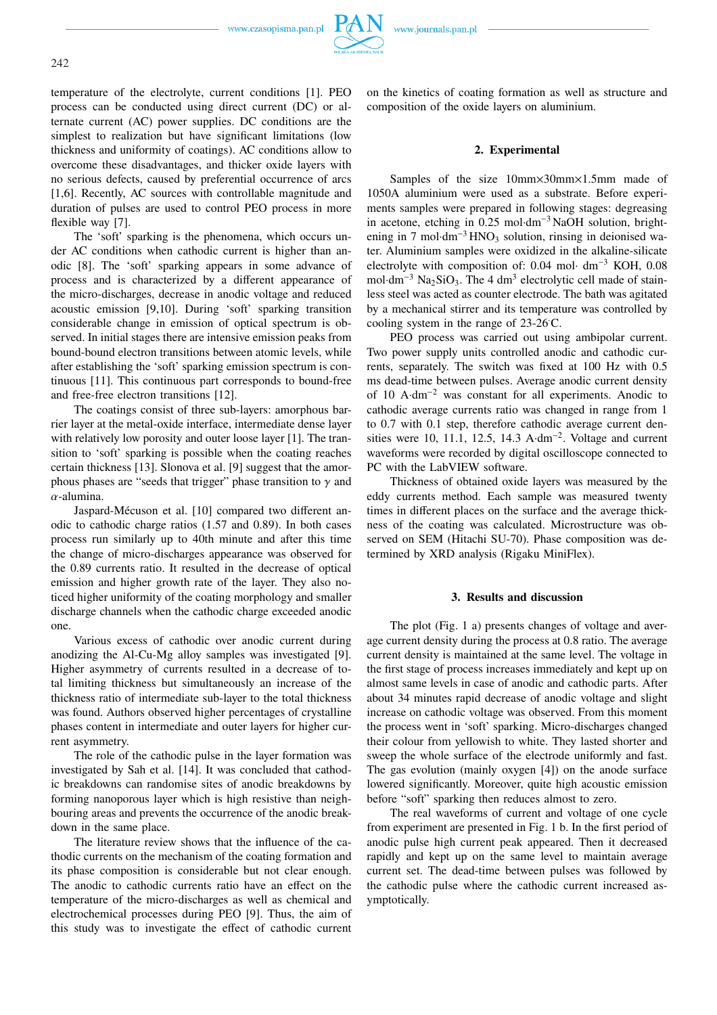www.czasopisma.pan.pl



temperature of the electrolyte, current conditions [1]. PEO process can be conducted using direct current (DC) or alternate current (AC) power supplies. DC conditions are the simplest to realization but have significant limitations (low thickness and uniformity of coatings). AC conditions allow to overcome these disadvantages, and thicker oxide layers with no serious defects, caused by preferential occurrence of arcs [1,6]. Recently, AC sources with controllable magnitude and duration of pulses are used to control PEO process in more flexible way [7].

The 'soft' sparking is the phenomena, which occurs under AC conditions when cathodic current is higher than anodic [8]. The 'soft' sparking appears in some advance of process and is characterized by a different appearance of the micro-discharges, decrease in anodic voltage and reduced acoustic emission [9,10]. During 'soft' sparking transition considerable change in emission of optical spectrum is observed. In initial stages there are intensive emission peaks from bound-bound electron transitions between atomic levels, while after establishing the 'soft' sparking emission spectrum is continuous [11]. This continuous part corresponds to bound-free and free-free electron transitions [12].

The coatings consist of three sub-layers: amorphous barrier layer at the metal-oxide interface, intermediate dense layer with relatively low porosity and outer loose layer [1]. The transition to 'soft' sparking is possible when the coating reaches certain thickness [13]. Slonova et al. [9] suggest that the amorphous phases are "seeds that trigger" phase transition to  $\gamma$  and  $\alpha$ -alumina.

Jaspard-Mécuson et al. [10] compared two different anodic to cathodic charge ratios (1.57 and 0.89). In both cases process run similarly up to 40th minute and after this time the change of micro-discharges appearance was observed for the 0.89 currents ratio. It resulted in the decrease of optical emission and higher growth rate of the layer. They also noticed higher uniformity of the coating morphology and smaller discharge channels when the cathodic charge exceeded anodic one.

Various excess of cathodic over anodic current during anodizing the Al-Cu-Mg alloy samples was investigated [9]. Higher asymmetry of currents resulted in a decrease of total limiting thickness but simultaneously an increase of the thickness ratio of intermediate sub-layer to the total thickness was found. Authors observed higher percentages of crystalline phases content in intermediate and outer layers for higher current asymmetry.

The role of the cathodic pulse in the layer formation was investigated by Sah et al. [14]. It was concluded that cathodic breakdowns can randomise sites of anodic breakdowns by forming nanoporous layer which is high resistive than neighbouring areas and prevents the occurrence of the anodic breakdown in the same place.

The literature review shows that the influence of the cathodic currents on the mechanism of the coating formation and its phase composition is considerable but not clear enough. The anodic to cathodic currents ratio have an effect on the temperature of the micro-discharges as well as chemical and electrochemical processes during PEO [9]. Thus, the aim of this study was to investigate the effect of cathodic current

on the kinetics of coating formation as well as structure and composition of the oxide layers on aluminium.

## **2. Experimental**

Samples of the size 10mm×30mm×1.5mm made of 1050A aluminium were used as a substrate. Before experiments samples were prepared in following stages: degreasing in acetone, etching in 0.25 mol·dm<sup>−</sup><sup>3</sup> NaOH solution, brightening in 7 mol·dm<sup>-3</sup> HNO<sub>3</sub> solution, rinsing in deionised water. Aluminium samples were oxidized in the alkaline-silicate electrolyte with composition of: 0.04 mol· dm<sup>−</sup><sup>3</sup> KOH, 0.08 mol·dm<sup>-3</sup> Na<sub>2</sub>SiO<sub>3</sub>. The 4 dm<sup>3</sup> electrolytic cell made of stainless steel was acted as counter electrode. The bath was agitated by a mechanical stirrer and its temperature was controlled by cooling system in the range of 23-26 C.

PEO process was carried out using ambipolar current. Two power supply units controlled anodic and cathodic currents, separately. The switch was fixed at 100 Hz with 0.5 ms dead-time between pulses. Average anodic current density of 10 A·dm<sup>−</sup><sup>2</sup> was constant for all experiments. Anodic to cathodic average currents ratio was changed in range from 1 to 0.7 with 0.1 step, therefore cathodic average current densities were 10, 11.1, 12.5, 14.3 A·dm<sup>-2</sup>. Voltage and current waveforms were recorded by digital oscilloscope connected to PC with the LabVIEW software.

Thickness of obtained oxide layers was measured by the eddy currents method. Each sample was measured twenty times in different places on the surface and the average thickness of the coating was calculated. Microstructure was observed on SEM (Hitachi SU-70). Phase composition was determined by XRD analysis (Rigaku MiniFlex).

#### **3. Results and discussion**

The plot (Fig. 1 a) presents changes of voltage and average current density during the process at 0.8 ratio. The average current density is maintained at the same level. The voltage in the first stage of process increases immediately and kept up on almost same levels in case of anodic and cathodic parts. After about 34 minutes rapid decrease of anodic voltage and slight increase on cathodic voltage was observed. From this moment the process went in 'soft' sparking. Micro-discharges changed their colour from yellowish to white. They lasted shorter and sweep the whole surface of the electrode uniformly and fast. The gas evolution (mainly oxygen [4]) on the anode surface lowered significantly. Moreover, quite high acoustic emission before "soft" sparking then reduces almost to zero.

The real waveforms of current and voltage of one cycle from experiment are presented in Fig. 1 b. In the first period of anodic pulse high current peak appeared. Then it decreased rapidly and kept up on the same level to maintain average current set. The dead-time between pulses was followed by the cathodic pulse where the cathodic current increased asymptotically.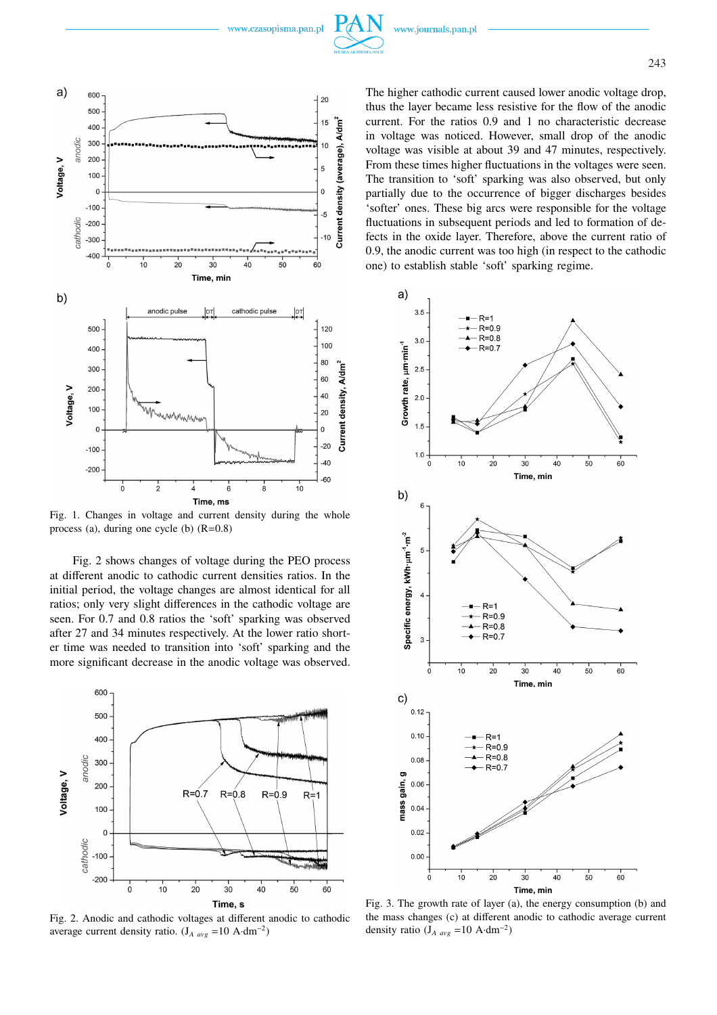

Fig. 1. Changes in voltage and current density during the whole process (a), during one cycle (b)  $(R=0.8)$ 

Fig. 2 shows changes of voltage during the PEO process at different anodic to cathodic current densities ratios. In the initial period, the voltage changes are almost identical for all ratios; only very slight differences in the cathodic voltage are seen. For 0.7 and 0.8 ratios the 'soft' sparking was observed after 27 and 34 minutes respectively. At the lower ratio shorter time was needed to transition into 'soft' sparking and the more significant decrease in the anodic voltage was observed.



Fig. 2. Anodic and cathodic voltages at different anodic to cathodic average current density ratio.  $(J_{A\{avg}} = 10 \text{ A} \cdot \text{dm}^{-2})$ 

The higher cathodic current caused lower anodic voltage drop, thus the layer became less resistive for the flow of the anodic current. For the ratios 0.9 and 1 no characteristic decrease in voltage was noticed. However, small drop of the anodic voltage was visible at about 39 and 47 minutes, respectively. From these times higher fluctuations in the voltages were seen. The transition to 'soft' sparking was also observed, but only partially due to the occurrence of bigger discharges besides 'softer' ones. These big arcs were responsible for the voltage fluctuations in subsequent periods and led to formation of defects in the oxide layer. Therefore, above the current ratio of 0.9, the anodic current was too high (in respect to the cathodic one) to establish stable 'soft' sparking regime.



Fig. 3. The growth rate of layer (a), the energy consumption (b) and the mass changes (c) at different anodic to cathodic average current density ratio ( $J_{A\,avg}$  =10 A·dm<sup>-2</sup>)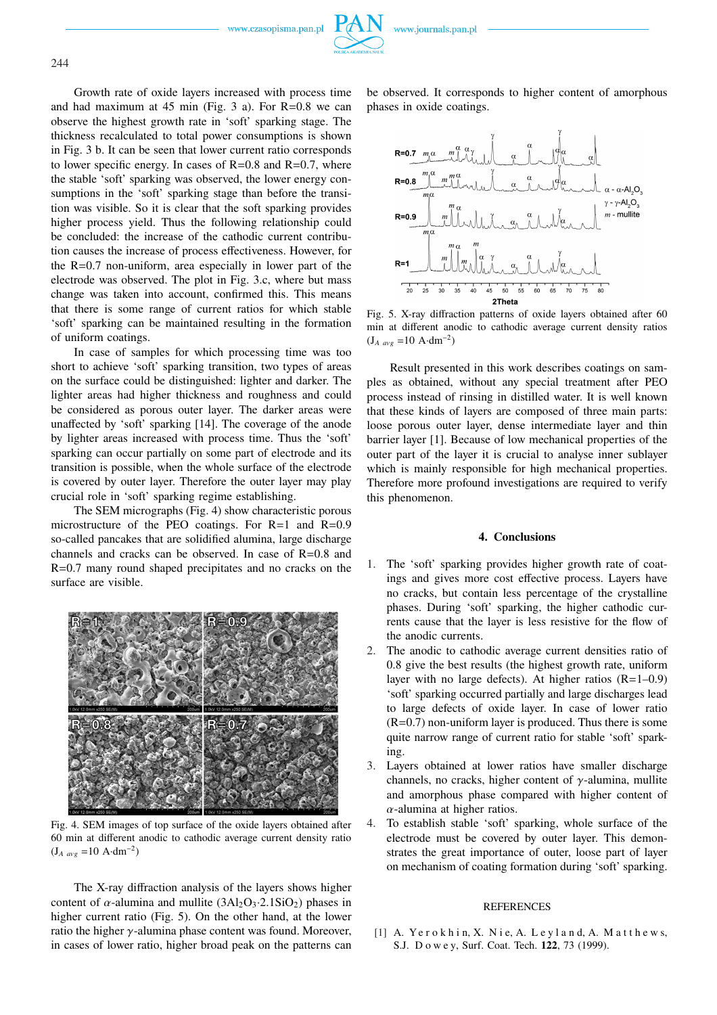www.czasopisma.pan.pl



Growth rate of oxide layers increased with process time and had maximum at  $45$  min (Fig.  $3$  a). For R=0.8 we can observe the highest growth rate in 'soft' sparking stage. The thickness recalculated to total power consumptions is shown in Fig. 3 b. It can be seen that lower current ratio corresponds to lower specific energy. In cases of  $R=0.8$  and  $R=0.7$ , where the stable 'soft' sparking was observed, the lower energy consumptions in the 'soft' sparking stage than before the transition was visible. So it is clear that the soft sparking provides higher process yield. Thus the following relationship could be concluded: the increase of the cathodic current contribution causes the increase of process effectiveness. However, for the R=0.7 non-uniform, area especially in lower part of the electrode was observed. The plot in Fig. 3.c, where but mass change was taken into account, confirmed this. This means that there is some range of current ratios for which stable 'soft' sparking can be maintained resulting in the formation of uniform coatings.

In case of samples for which processing time was too short to achieve 'soft' sparking transition, two types of areas on the surface could be distinguished: lighter and darker. The lighter areas had higher thickness and roughness and could be considered as porous outer layer. The darker areas were unaffected by 'soft' sparking [14]. The coverage of the anode by lighter areas increased with process time. Thus the 'soft' sparking can occur partially on some part of electrode and its transition is possible, when the whole surface of the electrode is covered by outer layer. Therefore the outer layer may play crucial role in 'soft' sparking regime establishing.

The SEM micrographs (Fig. 4) show characteristic porous microstructure of the PEO coatings. For  $R=1$  and  $R=0.9$ so-called pancakes that are solidified alumina, large discharge channels and cracks can be observed. In case of R=0.8 and R=0.7 many round shaped precipitates and no cracks on the surface are visible.



Fig. 4. SEM images of top surface of the oxide layers obtained after 60 min at different anodic to cathodic average current density ratio  $(J_{A\,avg} = 10 \text{ A} \cdot \text{dm}^{-2})$ 

The X-ray diffraction analysis of the layers shows higher content of  $\alpha$ -alumina and mullite (3Al<sub>2</sub>O<sub>3</sub>·2.1SiO<sub>2</sub>) phases in higher current ratio (Fig. 5). On the other hand, at the lower ratio the higher  $\gamma$ -alumina phase content was found. Moreover, in cases of lower ratio, higher broad peak on the patterns can be observed. It corresponds to higher content of amorphous phases in oxide coatings.



Fig. 5. X-ray diffraction patterns of oxide layers obtained after 60 min at different anodic to cathodic average current density ratios  $(J_{A\{avg}} = 10 \text{ A} \cdot \text{dm}^{-2})$ 

Result presented in this work describes coatings on samples as obtained, without any special treatment after PEO process instead of rinsing in distilled water. It is well known that these kinds of layers are composed of three main parts: loose porous outer layer, dense intermediate layer and thin barrier layer [1]. Because of low mechanical properties of the outer part of the layer it is crucial to analyse inner sublayer which is mainly responsible for high mechanical properties. Therefore more profound investigations are required to verify this phenomenon.

#### **4. Conclusions**

- 1. The 'soft' sparking provides higher growth rate of coatings and gives more cost effective process. Layers have no cracks, but contain less percentage of the crystalline phases. During 'soft' sparking, the higher cathodic currents cause that the layer is less resistive for the flow of the anodic currents.
- 2. The anodic to cathodic average current densities ratio of 0.8 give the best results (the highest growth rate, uniform layer with no large defects). At higher ratios  $(R=1-0.9)$ 'soft' sparking occurred partially and large discharges lead to large defects of oxide layer. In case of lower ratio  $(R=0.7)$  non-uniform layer is produced. Thus there is some quite narrow range of current ratio for stable 'soft' sparking.
- 3. Layers obtained at lower ratios have smaller discharge channels, no cracks, higher content of  $\gamma$ -alumina, mullite and amorphous phase compared with higher content of  $\alpha$ -alumina at higher ratios.
- 4. To establish stable 'soft' sparking, whole surface of the electrode must be covered by outer layer. This demonstrates the great importance of outer, loose part of layer on mechanism of coating formation during 'soft' sparking.

### **REFERENCES**

[1] A. Yerokhin, X. Nie, A. Leyland, A. Matthews, S.J. D o w e y, Surf. Coat. Tech. **122**, 73 (1999).